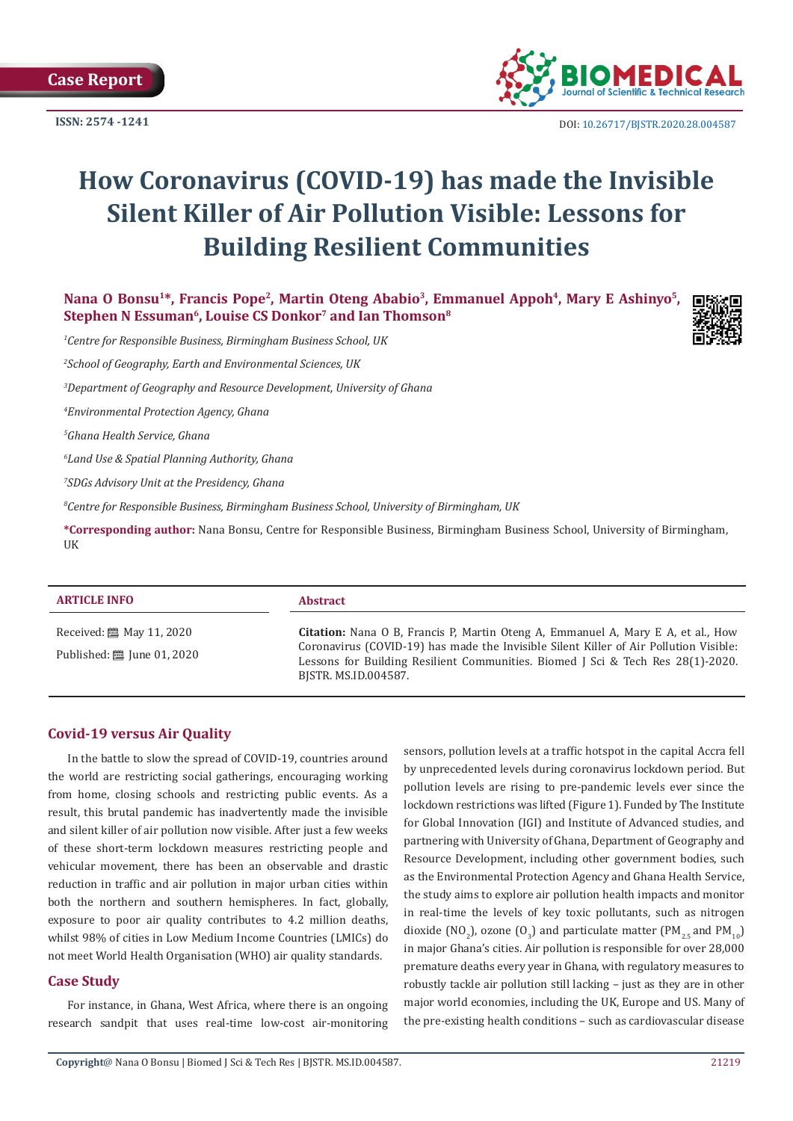

DOI: [10.26717/BJSTR.2020.28.004587](http://dx.doi.org/10.26717/BJSTR.2020.28.004587)

# **How Coronavirus (COVID-19) has made the Invisible Silent Killer of Air Pollution Visible: Lessons for Building Resilient Communities**

Nana O Bonsu<sup>1\*</sup>, Francis Pope<sup>2</sup>, Martin Oteng Ababio<sup>3</sup>, Emmanuel Appoh<sup>4</sup>, Mary E Ashinyo<sup>5</sup>, Stephen N Essuman<sup>6</sup>, Louise CS Donkor<sup>7</sup> and Ian Thomson<sup>8</sup>

*1 Centre for Responsible Business, Birmingham Business School, UK*

*2 School of Geography, Earth and Environmental Sciences, UK*

*3 Department of Geography and Resource Development, University of Ghana*

*4 Environmental Protection Agency, Ghana*

*5 Ghana Health Service, Ghana*

*6 Land Use & Spatial Planning Authority, Ghana*

*7 SDGs Advisory Unit at the Presidency, Ghana*

*8 Centre for Responsible Business, Birmingham Business School, University of Birmingham, UK*

**\*Corresponding author:** Nana Bonsu, Centre for Responsible Business, Birmingham Business School, University of Birmingham, UK

#### **ARTICLE INFO Abstract**

Received: [29] May 11, 2020 Published: [1] June 01, 2020

**Citation:** Nana O B, Francis P, Martin Oteng A, Emmanuel A, Mary E A, et al., How Coronavirus (COVID-19) has made the Invisible Silent Killer of Air Pollution Visible: Lessons for Building Resilient Communities. Biomed J Sci & Tech Res 28(1)-2020. BJSTR. MS.ID.004587.

# **Covid-19 versus Air Quality**

In the battle to slow the spread of COVID-19, countries around the world are restricting social gatherings, encouraging working from home, closing schools and restricting public events. As a result, this brutal pandemic has inadvertently made the invisible and silent killer of air pollution now visible. After just a few weeks of these short-term lockdown measures restricting people and vehicular movement, there has been an observable and drastic reduction in traffic and air pollution in major urban cities within both the northern and southern hemispheres. In fact, globally, exposure to poor air quality contributes to 4.2 million deaths, whilst 98% of cities in Low Medium Income Countries (LMICs) do not meet World Health Organisation (WHO) air quality standards.

#### **Case Study**

For instance, in Ghana, West Africa, where there is an ongoing research sandpit that uses real-time low-cost air-monitoring sensors, pollution levels at a traffic hotspot in the capital Accra fell by unprecedented levels during coronavirus lockdown period. But pollution levels are rising to pre-pandemic levels ever since the lockdown restrictions was lifted (Figure 1). Funded by [The Institute](https://www.birmingham.ac.uk/research/global-goals/igi/index.aspx) [for Global Innovation \(IGI\) and Institute of Advanced studies](https://www.birmingham.ac.uk/research/global-goals/igi/index.aspx), and partnering with University of Ghana, Department of Geography and Resource Development, including other government bodies, such as the Environmental Protection Agency and Ghana Health Service, the study aims to explore air pollution health impacts and monitor in real-time the levels of key toxic pollutants, such as nitrogen dioxide (NO<sub>2</sub>), ozone (O<sub>3</sub>) and particulate matter (PM<sub>2.5</sub> and PM<sub>10</sub>) in major Ghana's cities. Air pollution is responsible for over 28,000 premature deaths every year in Ghana, with regulatory measures to robustly tackle air pollution still lacking – just as they are in other major world economies, including the UK, Europe and US. Many of the [pre-existing health conditions](https://www.who.int/docs/default-source/coronaviruse/situation-reports/20200311-sitrep-51-covid-19.pdf?sfvrsn=1ba62e57_10) – such as cardiovascular disease